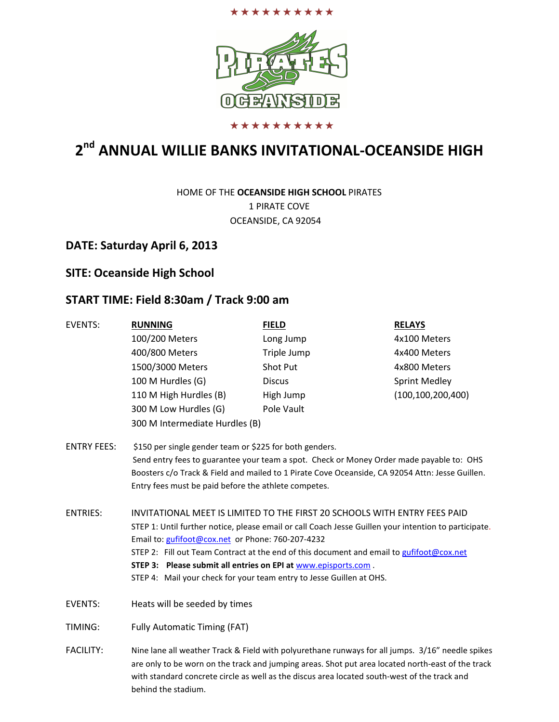



#### \*\*\*\*\*\*\*\*\*\*

# 2<sup>nd</sup> ANNUAL WILLIE BANKS INVITATIONAL-OCEANSIDE HIGH

HOME OF THE OCEANSIDE HIGH SCHOOL PIRATES 1 PIRATE COVE OCEANSIDE, CA 92054

#### DATE: Saturday April 6, 2013

#### SITE: Oceanside High School

#### START TIME: Field 8:30am / Track 9:00 am

| <b>EVENTS:</b>     | <b>RUNNING</b>                                                                                                                                                                                                           | <b>FIELD</b>  | <b>RELAYS</b>        |  |  |
|--------------------|--------------------------------------------------------------------------------------------------------------------------------------------------------------------------------------------------------------------------|---------------|----------------------|--|--|
|                    | 100/200 Meters                                                                                                                                                                                                           | Long Jump     | 4x100 Meters         |  |  |
|                    | 400/800 Meters                                                                                                                                                                                                           | Triple Jump   | 4x400 Meters         |  |  |
|                    | 1500/3000 Meters                                                                                                                                                                                                         | Shot Put      | 4x800 Meters         |  |  |
|                    | 100 M Hurdles (G)                                                                                                                                                                                                        | <b>Discus</b> | <b>Sprint Medley</b> |  |  |
|                    | 110 M High Hurdles (B)                                                                                                                                                                                                   | High Jump     | (100, 100, 200, 400) |  |  |
|                    | 300 M Low Hurdles (G)                                                                                                                                                                                                    | Pole Vault    |                      |  |  |
|                    | 300 M Intermediate Hurdles (B)                                                                                                                                                                                           |               |                      |  |  |
| <b>ENTRY FEES:</b> | \$150 per single gender team or \$225 for both genders.                                                                                                                                                                  |               |                      |  |  |
|                    | Send entry fees to guarantee your team a spot. Check or Money Order made payable to: OHS                                                                                                                                 |               |                      |  |  |
|                    | Boosters c/o Track & Field and mailed to 1 Pirate Cove Oceanside, CA 92054 Attn: Jesse Guillen.                                                                                                                          |               |                      |  |  |
|                    | Entry fees must be paid before the athlete competes.                                                                                                                                                                     |               |                      |  |  |
| <b>ENTRIES:</b>    | INVITATIONAL MEET IS LIMITED TO THE FIRST 20 SCHOOLS WITH ENTRY FEES PAID                                                                                                                                                |               |                      |  |  |
|                    | STEP 1: Until further notice, please email or call Coach Jesse Guillen your intention to participate.                                                                                                                    |               |                      |  |  |
|                    | Email to: gufifoot@cox.net or Phone: 760-207-4232                                                                                                                                                                        |               |                      |  |  |
|                    | STEP 2: Fill out Team Contract at the end of this document and email to gufifoot@cox.net                                                                                                                                 |               |                      |  |  |
|                    | STEP 3: Please submit all entries on EPI at www.episports.com.                                                                                                                                                           |               |                      |  |  |
|                    | STEP 4: Mail your check for your team entry to Jesse Guillen at OHS.                                                                                                                                                     |               |                      |  |  |
| EVENTS:            | Heats will be seeded by times                                                                                                                                                                                            |               |                      |  |  |
| TIMING:            | <b>Fully Automatic Timing (FAT)</b>                                                                                                                                                                                      |               |                      |  |  |
| <b>FACILITY:</b>   | Nine lane all weather Track & Field with polyurethane runways for all jumps. 3/16" needle spikes                                                                                                                         |               |                      |  |  |
|                    | are only to be worn on the track and jumping areas. Shot put area located north-east of the track<br>with standard concrete circle as well as the discus area located south-west of the track and<br>behind the stadium. |               |                      |  |  |